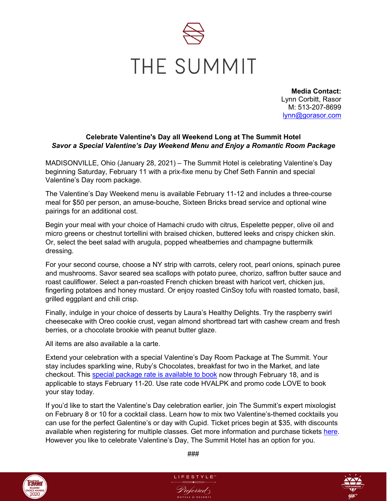

**Media Contact:** Lynn Corbitt, Rasor M: 513-207-8699 [lynn@gorasor.com](mailto:lynn@gorasor.com)

## **Celebrate Valentine's Day all Weekend Long at The Summit Hotel** *Savor a Special Valentine's Day Weekend Menu and Enjoy a Romantic Room Package*

MADISONVILLE, Ohio (January 28, 2021) – The Summit Hotel is celebrating Valentine's Day beginning Saturday, February 11 with a prix-fixe menu by Chef Seth Fannin and special Valentine's Day room package.

The Valentine's Day Weekend menu is available February 11-12 and includes a three-course meal for \$50 per person, an amuse-bouche, Sixteen Bricks bread service and optional wine pairings for an additional cost.

Begin your meal with your choice of Hamachi crudo with citrus, Espelette pepper, olive oil and micro greens or chestnut tortellini with braised chicken, buttered leeks and crispy chicken skin. Or, select the beet salad with arugula, popped wheatberries and champagne buttermilk dressing.

For your second course, choose a NY strip with carrots, celery root, pearl onions, spinach puree and mushrooms. Savor seared sea scallops with potato puree, chorizo, saffron butter sauce and roast cauliflower. Select a pan-roasted French chicken breast with haricot vert, chicken jus, fingerling potatoes and honey mustard. Or enjoy roasted CinSoy tofu with roasted tomato, basil, grilled eggplant and chili crisp.

Finally, indulge in your choice of desserts by Laura's Healthy Delights. Try the raspberry swirl cheesecake with Oreo cookie crust, vegan almond shortbread tart with cashew cream and fresh berries, or a chocolate brookie with peanut butter glaze.

All items are also available a la carte.

Extend your celebration with a special Valentine's Day Room Package at The Summit. Your stay includes sparkling wine, Ruby's Chocolates, breakfast for two in the Market, and late checkout. This [special package rate is available to book](https://www.thesummithotel.com/offers-packages) now through February 18, and is applicable to stays February 11-20. Use rate code HVALPK and promo code LOVE to book your stay today.

If you'd like to start the Valentine's Day celebration earlier, join The Summit's expert mixologist on February 8 or 10 for a cocktail class. Learn how to mix two Valentine's-themed cocktails you can use for the perfect Galentine's or day with Cupid. Ticket prices begin at \$35, with discounts available when registering for multiple classes. Get more information and purchase tickets [here.](https://www.eventbrite.com/e/valentines-day-mixology-class-february-10th-tickets-207480909987) However you like to celebrate Valentine's Day, The Summit Hotel has an option for you.



###